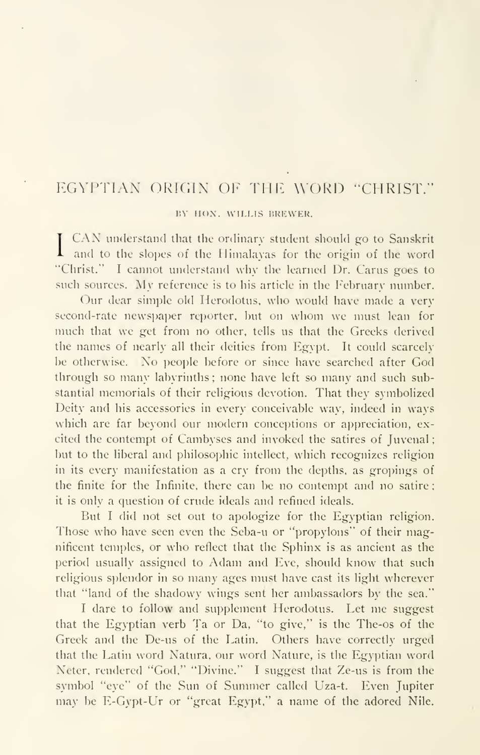## EGYPTIAN ORIGIN OF THE WORD "CHRIST."

## BY HON. WILLIS BREWER.

 $\blacksquare$  and to the slopes of the Himalayas for the origin of the word I CAN understand that the ordinary student should go to Sanskrit "Christ." I cannot understand why the learned Dr. Carus goes to such sources. My reference is to his article in the February number.

Our dear simple old Herodotus, who would have made <sup>a</sup> very second-rate newspaper reporter, hut on whom we must lean for much that we get from no other, tells us that the Greeks derived the names of nearly all their deities from Egypt. It could scarcely be otherwise. No people before or since have searched after God through so many labyrinths ; none have left so many and such substantial memorials of their religious devotion. That they symbolized Deity and his accessories in every conceivable way, indeed in ways which are far beyond our modern conceptions or appreciation, excited the contempt of Cambyses and invoked the satires of Juvenal but to the liberal and philosophic intellect, which recognizes religion in its every manifestation as a cry from the depths, as gropings of the finite for the Infinite, there can be no contempt and no satire it is only a question of crude ideals and refined ideals.

But <sup>I</sup> did not set out to apologize for the Egyptian religion. Those who have seen even the Seba-u or "propylons" of their magnificent temples, or who reflect that the Sphinx is as ancient as the period usually assigned to Adam and Eve, should know that such religious splendor in so many ages must have cast its light wherever that "land of the shadowy wings sent her ambassadors by the sea."

I dare to follow and supplement Herodotus. Let me suggest that the Egyptian verb Ta or Da, "to give," is the The-os of the Greek and the De-us of the Latin. Others have correctly urged that the Latin word Natura, our word Nature, is the Egyptian word Neter, rendered "God," "Divine." <sup>I</sup> suggest that Ze-us is from the symbol "eye" of the Sun of Summer called Uza-t. Even Jupiter may be E-Gypt-Ur or "great Egypt," a name of the adored Nile.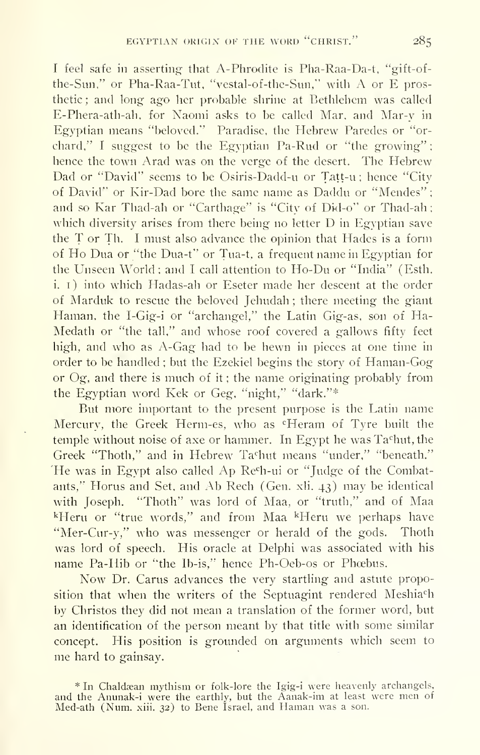I feel safe in asserting that A-Phrodite is Pha-Raa-Da-t, "gift-ofthe-Sun," or Pha-Raa-Tut. "vestal-of-the-Sim," with A or E prosthetic; and long ago her probable shrine at Bethlehem was called E-Phera-ath-ah, for Naomi asks to be called Mar, and Mar-y in Egyptian means "beloved." Paradise, the Hebrew Paredes or "or chard," I suggest to be the Egyptian Pa-Rud or "the growing": hence the town Arad was on the verge of the desert. The Hebrew Dad or "David" seems to be Osiris-Dadd-u or Tatt-u ; hence "City of David" or Kir-Dad bore the same name as Daddu or "Mendes" ; and so Kar Thad-ah or "Carthage" is "City of Did-o" or Thad-ah which diversity arises from there being no letter D in Egyptian save the  $T$  or Th. I must also advance the opinion that Hades is a form of Ho Dua or "the Dua-t" or Tua-t, <sup>a</sup> frequent name in Egyptian for the Unseen World; and I call attention to Ho-Du or "India" (Esth. i. i) into which Hadas-ah or Eseter made her descent at the order of Marduk to rescue the beloved Jehudah ; there meeting the giant Haman, the I-Gig-i or "archangel," the Latin Gig-as, son of Ha-Medath or "the tall," and whose roof covered a gallows fifty feet high, and who as A-Gag had to be hewn in pieces at one time in order to be handled ; but the Ezekiel begins the story of Haman-Gog or Og, and there is much of it ; the name originating probably from the Egyptian word Kek or Geg, "night," "dark."\*

But more important to the present purpose is the Latin name Mercury, the Greek Herm-es, who as "Heram of Tyre built the temple without noise of axe or hammer. In Egypt he was Tachut, the Greek "Thoth," and in Hebrew Tachut means "under," "beneath." 'He was in Egypt also called Ap Re<sup>c</sup>h-ui or "Judge of the Combatants," Horus and Set, and Ab Rech (Gen. xli. 43) may be identical with Joseph. "Thoth" was lord of Maa, or "truth," and of Maa <sup>k</sup>Heru or "true words," and from Maa <sup>k</sup>Heru we perhaps have "Mer-Cur-y," who was messenger or herald of the gods. Thoth was lord of speech. His oracle at Delphi was associated with his name Pa-Hib or "the Ib-is," hence Ph-Oeb-os or Phœbus.

Now Dr. Carus advances the very startling and astute proposition that when the writers of the Septuagint rendered Meshia<sup>ch</sup> by Christos they did not mean a translation of the former word, but an identification of the person meant by that title with some similar concept. His position is grounded on arguments which seem to me hard to gainsay.

\* In Chaldsan mythism or folk-lore the Igig-i were heavenly archangels, and the Anunak-i were the earthly, but the Aanak-im at least were men of Med-ath (Num. xiii. 32) to Bene Israel, and Haman was <sup>a</sup> son.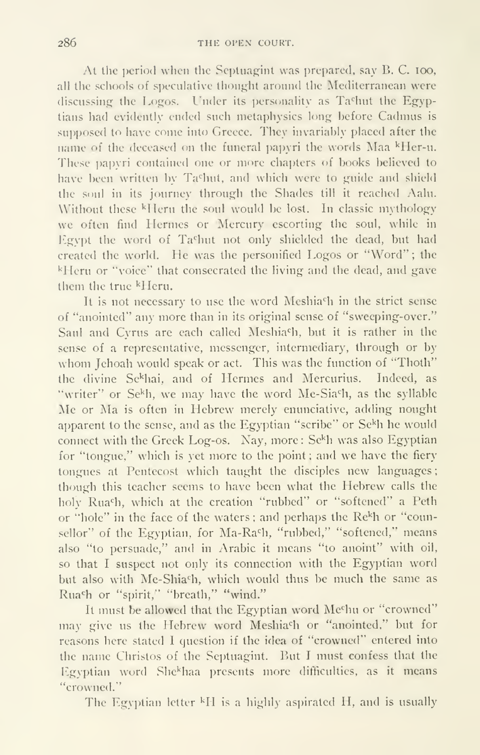At the period when the Septuagint was prepared, say B. C. 100, all the schools of speculative thought around the Mediterranean were discussing the Logos. Under its personality as Tashut the Egyptians had evidently ended such metaphysics long before Cadmus is supposed to have come into Greece. They invariably placed after the name of the deceased on the funeral papyri the words Maa <sup>k</sup>Her-u. These papyri contained one or more chapters of books believed to have been written by Tashut, and which were to guide and shield the soul in its journey through the Shades till it reached Aalu. Without these <sup>k</sup>Heru the soul would be lost. In classic mythology we often find Hermes or Mercury escorting^ the soul, while in Egypt the word of Tachut not only shielded the dead, but had created the world. He was the personified Logos or "Word"; the <sup>k</sup>Heru or "voice" that consecrated the living and the dead, and gave them the true kHeru.

It is not necessary to use the word Meshia<sup>c</sup>h in the strict sense of "anointed" any more than in its original sense of "sweeping-over." Saul and Cyrus are each called Meshia<sup>c</sup>h, but it is rather in the sense of a representative, messenger, intermediary, through or by whom Jehoah would speak or act. This was the function of "Thoth" the divine Sekhai, and of Hermes and Mercurius. Indeed, as "writer" or Se<sup>k</sup>h, we may have the word Me-Sia<sup>c</sup>h, as the syllable Me or Ma is often in Hebrew merely enunciative, adding nought apparent to the sense, and as the Egyptian "scribe" or Se<sup>kh</sup> he would connect with the Greek Log-os. Nay, more:  $S^{k}$ h was also Egyptian for "tongue," which is yet more to the point ; and we have the fiery tongues at Pentecost which taught the disciples new languages; though this teacher seems to have been what the Hebrew calls the holy Rua<sup>c</sup>h, which at the creation "rubbed" or "softened" a Peth or "hole" in the face of the waters; and perhaps the Re<sup>k</sup>h or "counsellor" of the Egyptian, for Ma-Ra<sup>c</sup>h, "rubbed," "softened," means also "to persuade," and in Arabic it means "to anoint" with oil, so that <sup>I</sup> suspect not only its connection with the Egyptian word but also with Me-Shiach, which would thus be much the same as Rua<sup>c</sup>h or "spirit," "breath," "wind."

It must be allowed that the Egyptian word Mechu or "crowned" may give us the Hebrew word Meshia<sup>c</sup>h or "anointed," but for reasons here stated <sup>I</sup> question if the idea of "crowned" entered into the name Christos of the Septuagint. But I must confess that the Egyptian word She<sup>k</sup>haa presents more difficulties, as it means "crowned."

The Egyptian letter <sup>k</sup>H is a highly aspirated H, and is usually